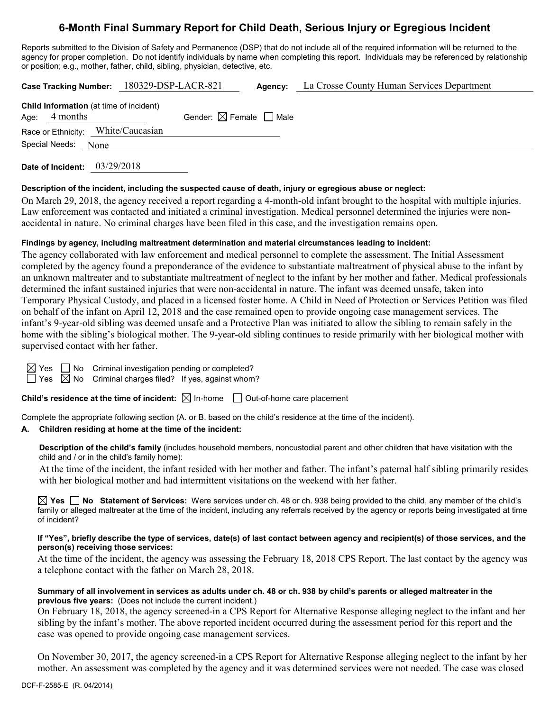# **6-Month Final Summary Report for Child Death, Serious Injury or Egregious Incident**

Reports submitted to the Division of Safety and Permanence (DSP) that do not include all of the required information will be returned to the agency for proper completion. Do not identify individuals by name when completing this report. Individuals may be referenced by relationship or position; e.g., mother, father, child, sibling, physician, detective, etc.

| Case Tracking Number: 180329-DSP-LACR-821 |                 |      |                                                |                                        | Agency: | La Crosse County Human Services Department |
|-------------------------------------------|-----------------|------|------------------------------------------------|----------------------------------------|---------|--------------------------------------------|
|                                           | Age: $4$ months |      | <b>Child Information</b> (at time of incident) | Gender: $\boxtimes$ Female $\Box$ Male |         |                                            |
|                                           |                 |      | Race or Ethnicity: White/Caucasian             |                                        |         |                                            |
|                                           | Special Needs:  | None |                                                |                                        |         |                                            |
|                                           |                 |      |                                                |                                        |         |                                            |

**Date of Incident:** 03/29/2018

#### **Description of the incident, including the suspected cause of death, injury or egregious abuse or neglect:**

On March 29, 2018, the agency received a report regarding a 4-month-old infant brought to the hospital with multiple injuries. Law enforcement was contacted and initiated a criminal investigation. Medical personnel determined the injuries were nonaccidental in nature. No criminal charges have been filed in this case, and the investigation remains open.

#### **Findings by agency, including maltreatment determination and material circumstances leading to incident:**

The agency collaborated with law enforcement and medical personnel to complete the assessment. The Initial Assessment completed by the agency found a preponderance of the evidence to substantiate maltreatment of physical abuse to the infant by an unknown maltreater and to substantiate maltreatment of neglect to the infant by her mother and father. Medical professionals determined the infant sustained injuries that were non-accidental in nature. The infant was deemed unsafe, taken into Temporary Physical Custody, and placed in a licensed foster home. A Child in Need of Protection or Services Petition was filed on behalf of the infant on April 12, 2018 and the case remained open to provide ongoing case management services. The infant's 9-year-old sibling was deemed unsafe and a Protective Plan was initiated to allow the sibling to remain safely in the home with the sibling's biological mother. The 9-year-old sibling continues to reside primarily with her biological mother with supervised contact with her father.

 $\Box$  No Criminal investigation pending or completed?

 $\boxtimes$  No Criminal charges filed? If yes, against whom?

**Child's residence at the time of incident:**  $\boxtimes$  In-home  $\Box$  Out-of-home care placement

Complete the appropriate following section (A. or B. based on the child's residence at the time of the incident).

### **A. Children residing at home at the time of the incident:**

**Description of the child's family** (includes household members, noncustodial parent and other children that have visitation with the child and / or in the child's family home):

At the time of the incident, the infant resided with her mother and father. The infant's paternal half sibling primarily resides with her biological mother and had intermittent visitations on the weekend with her father.

**Yes No Statement of Services:** Were services under ch. 48 or ch. 938 being provided to the child, any member of the child's family or alleged maltreater at the time of the incident, including any referrals received by the agency or reports being investigated at time of incident?

#### **If "Yes", briefly describe the type of services, date(s) of last contact between agency and recipient(s) of those services, and the person(s) receiving those services:**

At the time of the incident, the agency was assessing the February 18, 2018 CPS Report. The last contact by the agency was a telephone contact with the father on March 28, 2018.

#### **Summary of all involvement in services as adults under ch. 48 or ch. 938 by child's parents or alleged maltreater in the previous five years:** (Does not include the current incident.)

On February 18, 2018, the agency screened-in a CPS Report for Alternative Response alleging neglect to the infant and her sibling by the infant's mother. The above reported incident occurred during the assessment period for this report and the case was opened to provide ongoing case management services.

On November 30, 2017, the agency screened-in a CPS Report for Alternative Response alleging neglect to the infant by her mother. An assessment was completed by the agency and it was determined services were not needed. The case was closed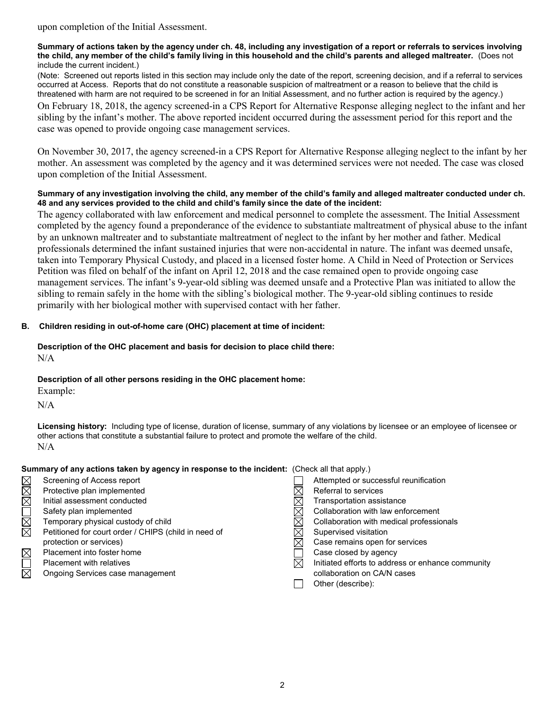#### **Summary of actions taken by the agency under ch. 48, including any investigation of a report or referrals to services involving the child, any member of the child's family living in this household and the child's parents and alleged maltreater.** (Does not include the current incident.)

(Note: Screened out reports listed in this section may include only the date of the report, screening decision, and if a referral to services occurred at Access. Reports that do not constitute a reasonable suspicion of maltreatment or a reason to believe that the child is threatened with harm are not required to be screened in for an Initial Assessment, and no further action is required by the agency.) On February 18, 2018, the agency screened-in a CPS Report for Alternative Response alleging neglect to the infant and her sibling by the infant's mother. The above reported incident occurred during the assessment period for this report and the case was opened to provide ongoing case management services.

On November 30, 2017, the agency screened-in a CPS Report for Alternative Response alleging neglect to the infant by her mother. An assessment was completed by the agency and it was determined services were not needed. The case was closed upon completion of the Initial Assessment.

## **Summary of any investigation involving the child, any member of the child's family and alleged maltreater conducted under ch. 48 and any services provided to the child and child's family since the date of the incident:**

The agency collaborated with law enforcement and medical personnel to complete the assessment. The Initial Assessment completed by the agency found a preponderance of the evidence to substantiate maltreatment of physical abuse to the infant by an unknown maltreater and to substantiate maltreatment of neglect to the infant by her mother and father. Medical professionals determined the infant sustained injuries that were non-accidental in nature. The infant was deemed unsafe, taken into Temporary Physical Custody, and placed in a licensed foster home. A Child in Need of Protection or Services Petition was filed on behalf of the infant on April 12, 2018 and the case remained open to provide ongoing case management services. The infant's 9-year-old sibling was deemed unsafe and a Protective Plan was initiated to allow the sibling to remain safely in the home with the sibling's biological mother. The 9-year-old sibling continues to reside primarily with her biological mother with supervised contact with her father.

# **B. Children residing in out-of-home care (OHC) placement at time of incident:**

#### **Description of the OHC placement and basis for decision to place child there:**  $N/A$

## **Description of all other persons residing in the OHC placement home:**

Example:

N/A

**Licensing history:** Including type of license, duration of license, summary of any violations by licensee or an employee of licensee or other actions that constitute a substantial failure to protect and promote the welfare of the child. N/A

## **Summary of any actions taken by agency in response to the incident:** (Check all that apply.)

- MMOMMM XOX
- Screening of Access report Protective plan implemented
- Initial assessment conducted
- Safety plan implemented
- Temporary physical custody of child
- Petitioned for court order / CHIPS (child in need of protection or services)
- Placement into foster home
- 
- Ongoing Services case management

| Screening of Access report                           |   | Attempted or successful reunification             |
|------------------------------------------------------|---|---------------------------------------------------|
| Protective plan implemented                          |   | Referral to services                              |
| Initial assessment conducted                         |   | Transportation assistance                         |
| Safety plan implemented                              |   | Collaboration with law enforcement                |
| Temporary physical custody of child                  |   | Collaboration with medical professionals          |
| Petitioned for court order / CHIPS (child in need of |   | Supervised visitation                             |
| protection or services)                              |   | Case remains open for services                    |
| Placement into foster home                           |   | Case closed by agency                             |
| <b>Placement with relatives</b>                      | ⊠ | Initiated efforts to address or enhance community |
| Ongoing Services case management                     |   | collaboration on CA/N cases                       |
|                                                      |   | Other (describe):                                 |